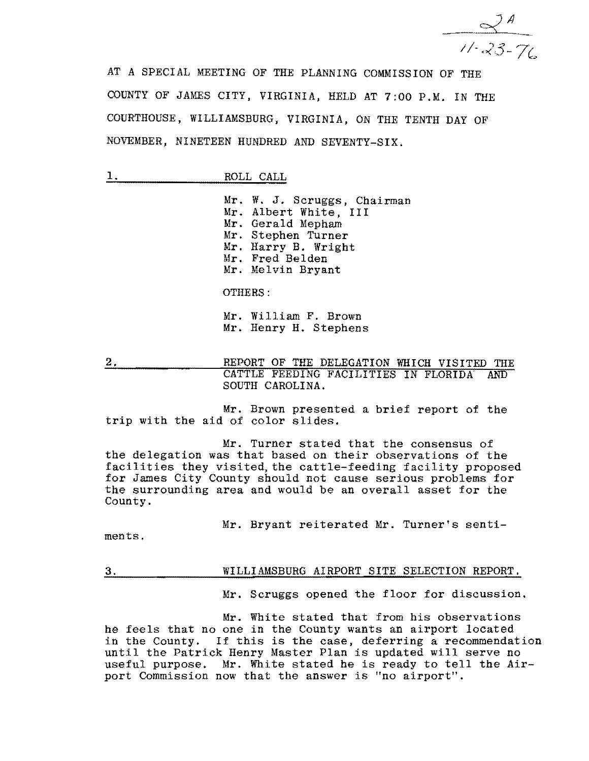

AT A SPECIAL MEETING OF THE PLANNING COMMISSION OF THE COUNTY OF JAMES CITY, VIRGINIA, HELD AT 7:00 P.M. IN THE COURTHOUSE, WILLIAMSBURG, VIRGINIA, ON THE TENTH DAY OF NOVEMBER, NINETEEN HUNDRED AND SEVENTY-SIX.

1. ROLL CALL

Mr. W. J. Scruggs, Chairman Mr. Albert White, III Mr. Gerald Mepham Mr. Stephen Turner Mr. Harry B. Wright Mr. Fred Belden Mr. Melvin Bryant

OTHERS:

Mr. William F. Brown Mr. Henry H. Stephens

2. REPORT OF THE DELEGATION WHICH VISITED THE CATTLE FEEDING FACILITIES IN FLORIDA AND SOUTH CAROLINA.

Mr. Brown presented a brief report of the trip with the aid of color slides.

Mr. Turner stated that the consensus of the delegation was that based on their observations of the facilities they visited, the cattle-feeding facility proposed for James City County should not cause serious problems for the surrounding area and would be an overall asset for the County.

Mr. Bryant reiterated Mr. Turner's senti-

ments.

## 3. WILLIAMSBURG AIRPORT SITE SELECTION REPORT.

Mr. Scruggs opened the floor for discussion.

Mr. White stated that from his observations he feels that no one in the County wants an airport located in the County. If this is the case, deferring a recommendation until tbe Patrick Henry Master Plan is updated will serve no useful purpose. Mr. White stated he is ready to tell the Airport Commission now that the answer is "no airport".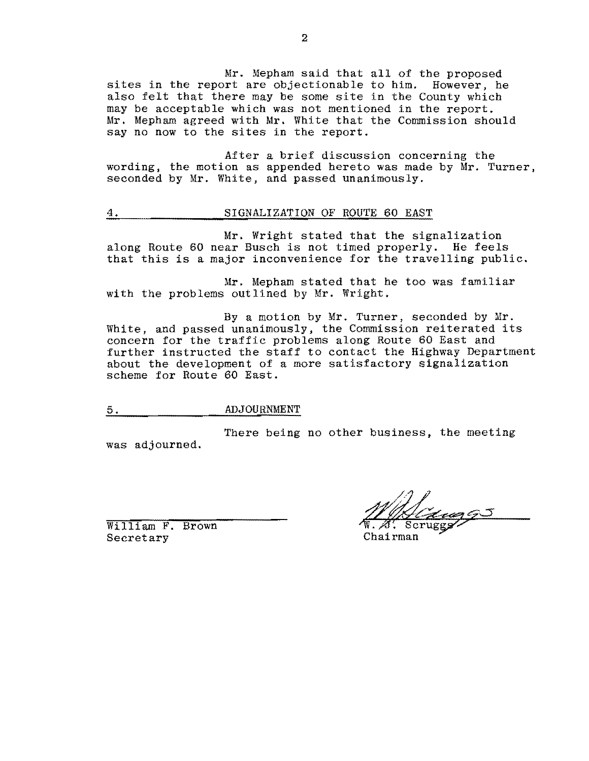Mr. Mepham said that all of the proposed sites in the report are objectionable to him. However, he also felt that there may be some site in the County which may be acceptable which was not mentioned in the report. Mr. Mepham agreed with Mr. White that the Commission should say no now to the sites in the report.

After a brief discussion concerning the wording, the motion as appended hereto was made by Mr. Turner, seconded by Mr. White, and passed unanimously.

## 4. SIGNALIZATION OF ROUTE 60 EAST

Mr. Wright stated that the signalization along Route 60 near Busch is not timed properly. He feels that this is a major inconvenience for the travelling public.

Mr. Mepham stated that he too was familiar with the problems outlined by Mr. Wright.

By a motion by Mr. Turner, seconded by Mr. White, and passed unanimously, the Commission reiterated its concern for the traffic problems along Route 60 East and further instructed the staff to contact the Highway Department about the development of a more satisfactory signalization scheme for Route 60 East.

## 5. ADJOURNMENT

There being no other business, the meeting was adjourned.

William F. Brown Secretary Chairman